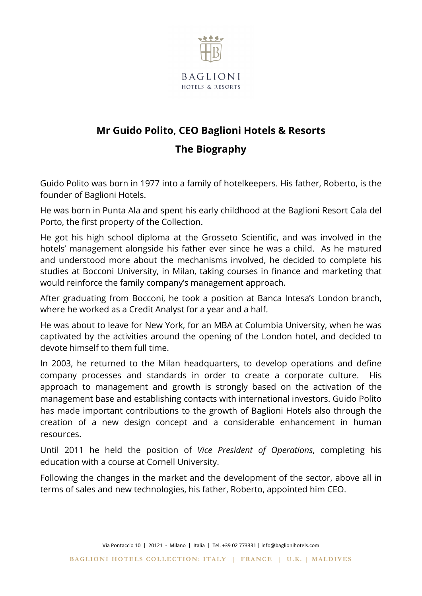

## **Mr Guido Polito, CEO Baglioni Hotels & Resorts The Biography**

Guido Polito was born in 1977 into a family of hotelkeepers. His father, Roberto, is the founder of Baglioni Hotels.

He was born in Punta Ala and spent his early childhood at the Baglioni Resort Cala del Porto, the first property of the Collection.

He got his high school diploma at the Grosseto Scientific, and was involved in the hotels' management alongside his father ever since he was a child. As he matured and understood more about the mechanisms involved, he decided to complete his studies at Bocconi University, in Milan, taking courses in finance and marketing that would reinforce the family company's management approach.

After graduating from Bocconi, he took a position at Banca Intesa's London branch, where he worked as a Credit Analyst for a year and a half.

He was about to leave for New York, for an MBA at Columbia University, when he was captivated by the activities around the opening of the London hotel, and decided to devote himself to them full time.

In 2003, he returned to the Milan headquarters, to develop operations and define company processes and standards in order to create a corporate culture. His approach to management and growth is strongly based on the activation of the management base and establishing contacts with international investors. Guido Polito has made important contributions to the growth of Baglioni Hotels also through the creation of a new design concept and a considerable enhancement in human resources.

Until 2011 he held the position of *Vice President of Operations*, completing his education with a course at Cornell University.

Following the changes in the market and the development of the sector, above all in terms of sales and new technologies, his father, Roberto, appointed him CEO.